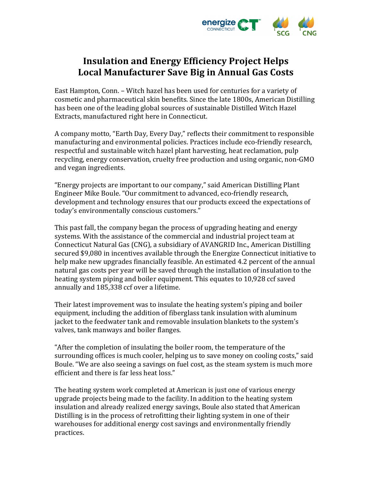

# **Insulation and Energy Efficiency Project Helps Local Manufacturer Save Big in Annual Gas Costs**

East Hampton, Conn. – Witch hazel has been used for centuries for a variety of cosmetic and pharmaceutical skin benefits. Since the late 1800s, American Distilling has been one of the leading global sources of sustainable Distilled Witch Hazel Extracts, manufactured right here in Connecticut.

A company motto, "Earth Day, Every Day," reflects their commitment to responsible manufacturing and environmental policies. Practices include eco-friendly research, respectful and sustainable witch hazel plant harvesting, heat reclamation, pulp recycling, energy conservation, cruelty free production and using organic, non-GMO and vegan ingredients.

"Energy projects are important to our company," said American Distilling Plant Engineer Mike Boule. "Our commitment to advanced, eco-friendly research, development and technology ensures that our products exceed the expectations of today's environmentally conscious customers."

This past fall, the company began the process of upgrading heating and energy systems. With the assistance of the commercial and industrial project team at Connecticut Natural Gas (CNG), a subsidiary of AVANGRID Inc., American Distilling secured \$9,080 in incentives available through the Energize Connecticut initiative to help make new upgrades financially feasible. An estimated 4.2 percent of the annual natural gas costs per year will be saved through the installation of insulation to the heating system piping and boiler equipment. This equates to 10,928 ccf saved annually and 185,338 ccf over a lifetime.

Their latest improvement was to insulate the heating system's piping and boiler equipment, including the addition of fiberglass tank insulation with aluminum jacket to the feedwater tank and removable insulation blankets to the system's valves, tank manways and boiler flanges.

"After the completion of insulating the boiler room, the temperature of the surrounding offices is much cooler, helping us to save money on cooling costs," said Boule. "We are also seeing a savings on fuel cost, as the steam system is much more efficient and there is far less heat loss."

The heating system work completed at American is just one of various energy upgrade projects being made to the facility. In addition to the heating system insulation and already realized energy savings, Boule also stated that American Distilling is in the process of retrofitting their lighting system in one of their warehouses for additional energy cost savings and environmentally friendly practices.